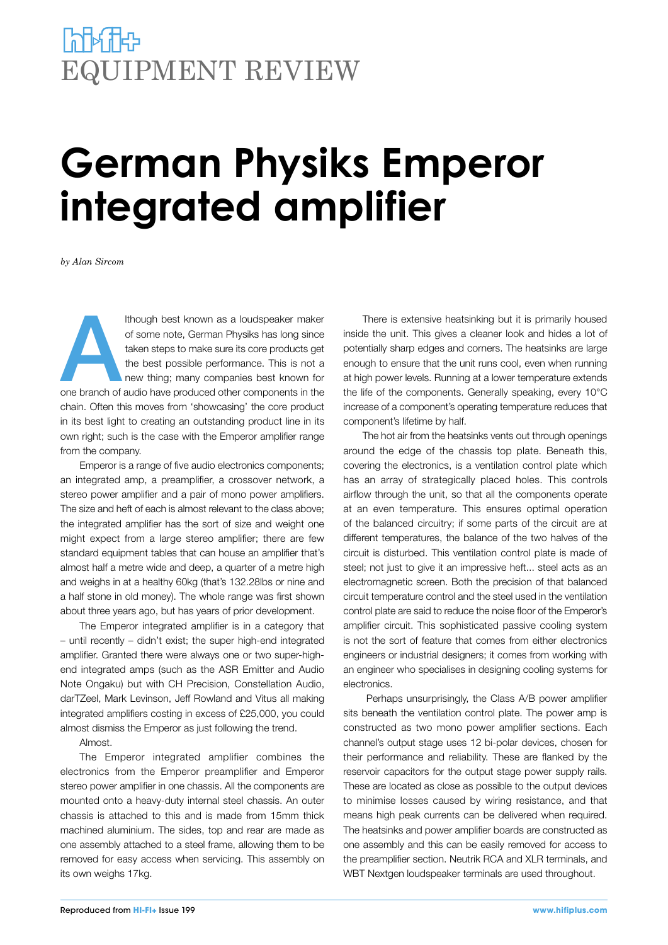## **POPULATES** EQUIPMENT REVIEW

# **German Physiks Emperor integrated amplifier**

*by Alan Sircom*

Ithough best known as a loudspeaker maker<br>
of some note, German Physiks has long since<br>
taken steps to make sure its core products get<br>
the best possible performance. This is not a<br>
new thing; many companies best known for of some note, German Physiks has long since taken steps to make sure its core products get the best possible performance. This is not a new thing; many companies best known for chain. Often this moves from 'showcasing' the core product in its best light to creating an outstanding product line in its own right; such is the case with the Emperor amplifier range from the company.

Emperor is a range of five audio electronics components; an integrated amp, a preamplifier, a crossover network, a stereo power amplifier and a pair of mono power amplifiers. The size and heft of each is almost relevant to the class above; the integrated amplifier has the sort of size and weight one might expect from a large stereo amplifier; there are few standard equipment tables that can house an amplifier that's almost half a metre wide and deep, a quarter of a metre high and weighs in at a healthy 60kg (that's 132.28lbs or nine and a half stone in old money). The whole range was first shown about three years ago, but has years of prior development.

The Emperor integrated amplifier is in a category that – until recently – didn't exist; the super high-end integrated amplifier. Granted there were always one or two super-highend integrated amps (such as the ASR Emitter and Audio Note Ongaku) but with CH Precision, Constellation Audio, darTZeel, Mark Levinson, Jeff Rowland and Vitus all making integrated amplifiers costing in excess of £25,000, you could almost dismiss the Emperor as just following the trend.

Almost.

The Emperor integrated amplifier combines the electronics from the Emperor preamplifier and Emperor stereo power amplifier in one chassis. All the components are mounted onto a heavy-duty internal steel chassis. An outer chassis is attached to this and is made from 15mm thick machined aluminium. The sides, top and rear are made as one assembly attached to a steel frame, allowing them to be removed for easy access when servicing. This assembly on its own weighs 17kg.

There is extensive heatsinking but it is primarily housed inside the unit. This gives a cleaner look and hides a lot of potentially sharp edges and corners. The heatsinks are large enough to ensure that the unit runs cool, even when running at high power levels. Running at a lower temperature extends the life of the components. Generally speaking, every 10°C increase of a component's operating temperature reduces that component's lifetime by half.

The hot air from the heatsinks vents out through openings around the edge of the chassis top plate. Beneath this, covering the electronics, is a ventilation control plate which has an array of strategically placed holes. This controls airflow through the unit, so that all the components operate at an even temperature. This ensures optimal operation of the balanced circuitry; if some parts of the circuit are at different temperatures, the balance of the two halves of the circuit is disturbed. This ventilation control plate is made of steel; not just to give it an impressive heft... steel acts as an electromagnetic screen. Both the precision of that balanced circuit temperature control and the steel used in the ventilation control plate are said to reduce the noise floor of the Emperor's amplifier circuit. This sophisticated passive cooling system is not the sort of feature that comes from either electronics engineers or industrial designers; it comes from working with an engineer who specialises in designing cooling systems for electronics.

 Perhaps unsurprisingly, the Class A/B power amplifier sits beneath the ventilation control plate. The power amp is constructed as two mono power amplifier sections. Each channel's output stage uses 12 bi-polar devices, chosen for their performance and reliability. These are flanked by the reservoir capacitors for the output stage power supply rails. These are located as close as possible to the output devices to minimise losses caused by wiring resistance, and that means high peak currents can be delivered when required. The heatsinks and power amplifier boards are constructed as one assembly and this can be easily removed for access to the preamplifier section. Neutrik RCA and XLR terminals, and WBT Nextgen loudspeaker terminals are used throughout.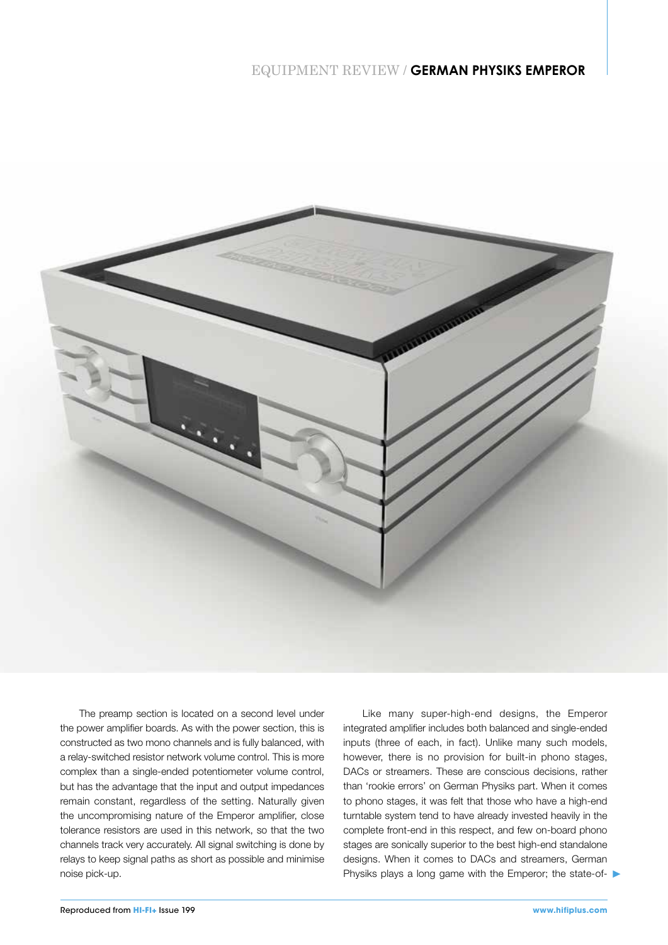#### EQUIPMENT REVIEW / **GERMAN PHYSIKS EMPEROR**



The preamp section is located on a second level under the power amplifier boards. As with the power section, this is constructed as two mono channels and is fully balanced, with a relay-switched resistor network volume control. This is more complex than a single-ended potentiometer volume control, but has the advantage that the input and output impedances remain constant, regardless of the setting. Naturally given the uncompromising nature of the Emperor amplifier, close tolerance resistors are used in this network, so that the two channels track very accurately. All signal switching is done by relays to keep signal paths as short as possible and minimise noise pick-up.

Like many super-high-end designs, the Emperor integrated amplifier includes both balanced and single-ended inputs (three of each, in fact). Unlike many such models, however, there is no provision for built-in phono stages, DACs or streamers. These are conscious decisions, rather than 'rookie errors' on German Physiks part. When it comes to phono stages, it was felt that those who have a high-end turntable system tend to have already invested heavily in the complete front-end in this respect, and few on-board phono stages are sonically superior to the best high-end standalone designs. When it comes to DACs and streamers, German Physiks plays a long game with the Emperor; the state-of-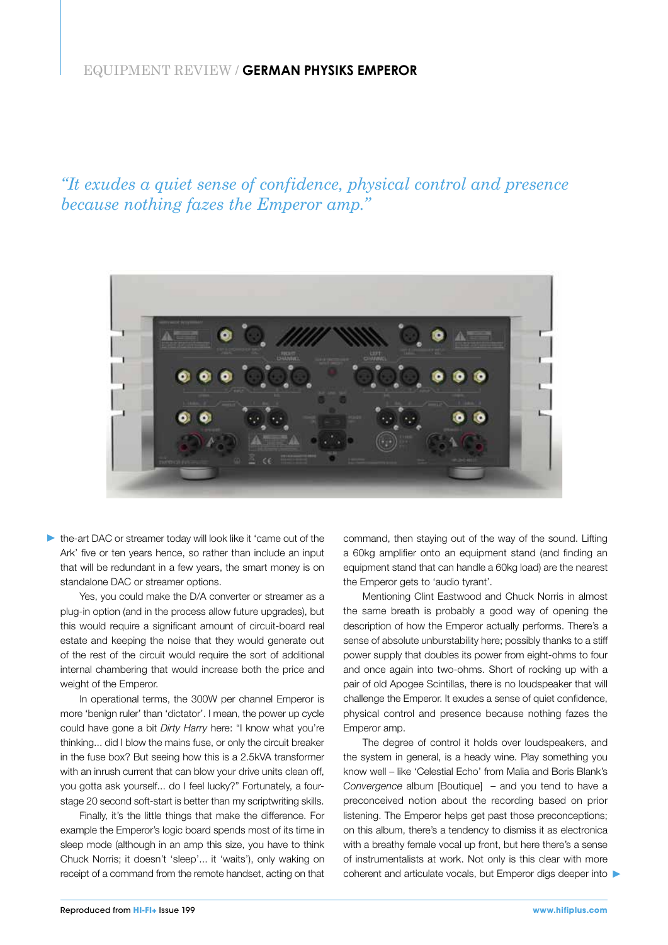#### EQUIPMENT REVIEW / **GERMAN PHYSIKS EMPEROR**

*"It exudes a quiet sense of confidence, physical control and presence because nothing fazes the Emperor amp."*



the-art DAC or streamer today will look like it 'came out of the Ark' five or ten years hence, so rather than include an input that will be redundant in a few years, the smart money is on standalone DAC or streamer options.

Yes, you could make the D/A converter or streamer as a plug-in option (and in the process allow future upgrades), but this would require a significant amount of circuit-board real estate and keeping the noise that they would generate out of the rest of the circuit would require the sort of additional internal chambering that would increase both the price and weight of the Emperor.

In operational terms, the 300W per channel Emperor is more 'benign ruler' than 'dictator'. I mean, the power up cycle could have gone a bit *Dirty Harry* here: "I know what you're thinking... did I blow the mains fuse, or only the circuit breaker in the fuse box? But seeing how this is a 2.5kVA transformer with an inrush current that can blow your drive units clean off, you gotta ask yourself... do I feel lucky?" Fortunately, a fourstage 20 second soft-start is better than my scriptwriting skills.

Finally, it's the little things that make the difference. For example the Emperor's logic board spends most of its time in sleep mode (although in an amp this size, you have to think Chuck Norris; it doesn't 'sleep'... it 'waits'), only waking on receipt of a command from the remote handset, acting on that command, then staying out of the way of the sound. Lifting a 60kg amplifier onto an equipment stand (and finding an equipment stand that can handle a 60kg load) are the nearest the Emperor gets to 'audio tyrant'.

Mentioning Clint Eastwood and Chuck Norris in almost the same breath is probably a good way of opening the description of how the Emperor actually performs. There's a sense of absolute unburstability here; possibly thanks to a stiff power supply that doubles its power from eight-ohms to four and once again into two-ohms. Short of rocking up with a pair of old Apogee Scintillas, there is no loudspeaker that will challenge the Emperor. It exudes a sense of quiet confidence, physical control and presence because nothing fazes the Emperor amp.

The degree of control it holds over loudspeakers, and the system in general, is a heady wine. Play something you know well – like 'Celestial Echo' from Malia and Boris Blank's *Convergence* album [Boutique] – and you tend to have a preconceived notion about the recording based on prior listening. The Emperor helps get past those preconceptions; on this album, there's a tendency to dismiss it as electronica with a breathy female vocal up front, but here there's a sense of instrumentalists at work. Not only is this clear with more coherent and articulate vocals, but Emperor digs deeper into